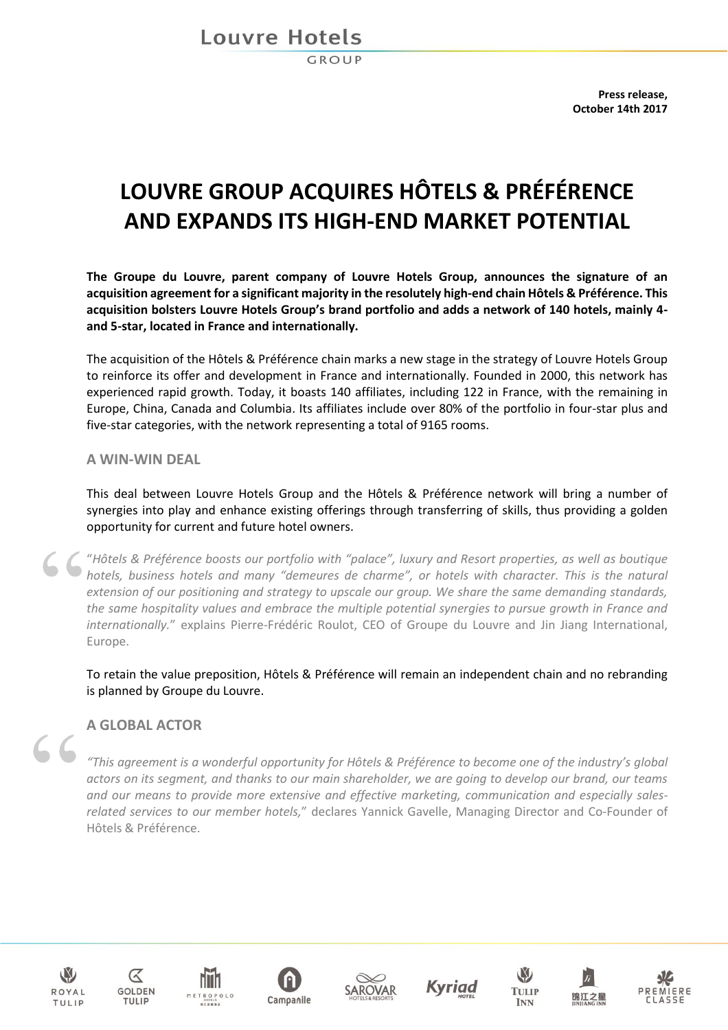## **Louvre Hotels**

**GROUP** 

**Press release, October 14th 2017**

# **LOUVRE GROUP ACQUIRES HÔTELS & PRÉFÉRENCE AND EXPANDS ITS HIGH-END MARKET POTENTIAL**

**The Groupe du Louvre, parent company of Louvre Hotels Group, announces the signature of an acquisition agreement for a significant majority in the resolutely high-end chain Hôtels & Préférence. This acquisition bolsters Louvre Hotels Group's brand portfolio and adds a network of 140 hotels, mainly 4 and 5-star, located in France and internationally.**

The acquisition of the Hôtels & Préférence chain marks a new stage in the strategy of Louvre Hotels Group to reinforce its offer and development in France and internationally. Founded in 2000, this network has experienced rapid growth. Today, it boasts 140 affiliates, including 122 in France, with the remaining in Europe, China, Canada and Columbia. Its affiliates include over 80% of the portfolio in four-star plus and five-star categories, with the network representing a total of 9165 rooms.

### **A WIN-WIN DEAL**

This deal between Louvre Hotels Group and the Hôtels & Préférence network will bring a number of synergies into play and enhance existing offerings through transferring of skills, thus providing a golden opportunity for current and future hotel owners.

"*Hôtels & Préférence boosts our portfolio with "palace", luxury and Resort properties, as well as boutique hotels, business hotels and many "demeures de charme", or hotels with character. This is the natural extension of our positioning and strategy to upscale our group. We share the same demanding standards, the same hospitality values and embrace the multiple potential synergies to pursue growth in France and internationally.*" explains Pierre-Frédéric Roulot, CEO of Groupe du Louvre and Jin Jiang International, Europe.

To retain the value preposition, Hôtels & Préférence will remain an independent chain and no rebranding is planned by Groupe du Louvre.

## **A GLOBAL ACTOR**

*"This agreement is a wonderful opportunity for Hôtels & Préférence to become one of the industry's global actors on its segment, and thanks to our main shareholder, we are going to develop our brand, our teams and our means to provide more extensive and effective marketing, communication and especially salesrelated services to our member hotels,*" declares Yannick Gavelle, Managing Director and Co-Founder of Hôtels & Préférence.